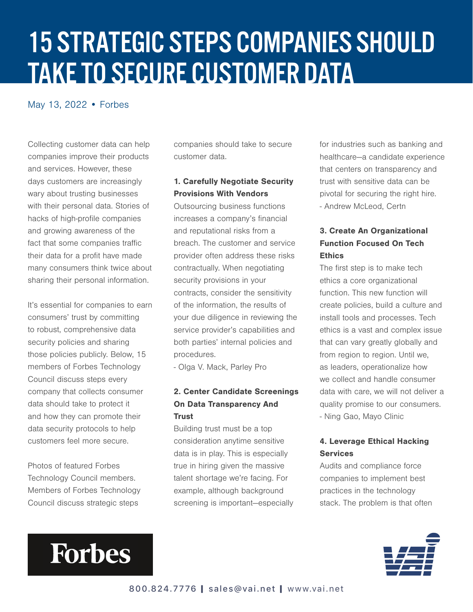# 15 STRATEGIC STEPS COMPANIES SHOULD TAKE TO SECURE CUSTOMER DATA

### May 13, 2022 • Forbes

Collecting customer data can help companies improve their products and services. However, these days customers are increasingly wary about trusting businesses with their personal data. Stories of hacks of high-profile companies and growing awareness of the fact that some companies traffic their data for a profit have made many consumers think twice about sharing their personal information.

It's essential for companies to earn consumers' trust by committing to robust, comprehensive data security policies and sharing those policies publicly. Below, 15 members of Forbes Technology Council discuss steps every company that collects consumer data should take to protect it and how they can promote their data security protocols to help customers feel more secure.

Photos of featured Forbes Technology Council members. Members of Forbes Technology Council discuss strategic steps

companies should take to secure customer data.

#### 1. Carefully Negotiate Security Provisions With Vendors

Outsourcing business functions increases a company's financial and reputational risks from a breach. The customer and service provider often address these risks contractually. When negotiating security provisions in your contracts, consider the sensitivity of the information, the results of your due diligence in reviewing the service provider's capabilities and both parties' internal policies and procedures.

- Olga V. Mack, Parley Pro

# 2. Center Candidate Screenings On Data Transparency And **Trust**

Building trust must be a top consideration anytime sensitive data is in play. This is especially true in hiring given the massive talent shortage we're facing. For example, although background screening is important—especially

for industries such as banking and healthcare—a candidate experience that centers on transparency and trust with sensitive data can be pivotal for securing the right hire. - Andrew McLeod, Certn

# 3. Create An Organizational Function Focused On Tech **Ethics**

The first step is to make tech ethics a core organizational function. This new function will create policies, build a culture and install tools and processes. Tech ethics is a vast and complex issue that can vary greatly globally and from region to region. Until we, as leaders, operationalize how we collect and handle consumer data with care, we will not deliver a quality promise to our consumers. - Ning Gao, Mayo Clinic

### 4. Leverage Ethical Hacking **Services**

Audits and compliance force companies to implement best practices in the technology stack. The problem is that often

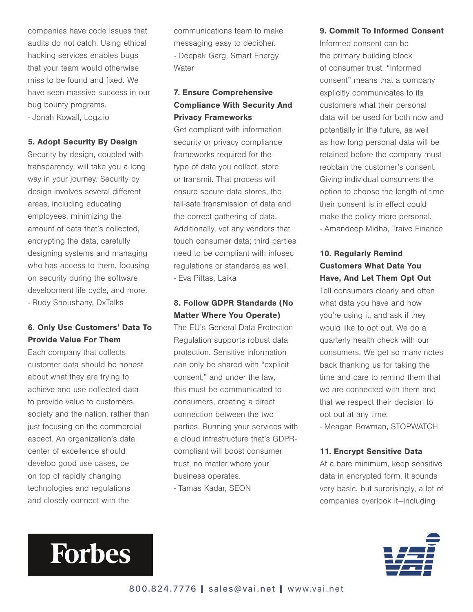companies have code issues that audits do not catch. Using ethical hacking services enables bugs that your team would otherwise miss to be found and fixed. We have seen massive success in our bug bounty programs. - Jonah Kowall, Logz.io

#### 5. Adopt Security By Design

Security by design, coupled with transparency, will take you a long way in your journey. Security by design involves several different areas, including educating employees, minimizing the amount of data that's collected, encrypting the data, carefully designing systems and managing who has access to them, focusing on security during the software development life cycle, and more. - Rudy Shoushany, DxTalks

### 6. Only Use Customers' Data To Provide Value For Them

Each company that collects customer data should be honest about what they are trying to achieve and use collected data to provide value to customers, society and the nation, rather than just focusing on the commercial aspect. An organization's data center of excellence should develop good use cases, be on top of rapidly changing technologies and regulations and closely connect with the

communications team to make messaging easy to decipher. - Deepak Garg, Smart Energy **Water** 

# 7. Ensure Comprehensive Compliance With Security And Privacy Frameworks

Get compliant with information security or privacy compliance frameworks required for the type of data you collect, store or transmit. That process will ensure secure data stores, the fail-safe transmission of data and the correct gathering of data. Additionally, vet any vendors that touch consumer data; third parties need to be compliant with infosec regulations or standards as well. - Eva Pittas, Laika

## 8. Follow GDPR Standards (No Matter Where You Operate)

The EU's General Data Protection Regulation supports robust data protection. Sensitive information can only be shared with "explicit consent," and under the law, this must be communicated to consumers, creating a direct connection between the two parties. Running your services with a cloud infrastructure that's GDPRcompliant will boost consumer trust, no matter where your business operates.

- Tamas Kadar, SEON

#### 9. Commit To Informed Consent

Informed consent can be the primary building block of consumer trust. "Informed consent" means that a company explicitly communicates to its customers what their personal data will be used for both now and potentially in the future, as well as how long personal data will be retained before the company must reobtain the customer's consent. Giving individual consumers the option to choose the length of time their consent is in effect could make the policy more personal. - Amandeep Midha, Traive Finance

# 10. Regularly Remind Customers What Data You Have, And Let Them Opt Out

Tell consumers clearly and often what data you have and how you're using it, and ask if they would like to opt out. We do a quarterly health check with our consumers. We get so many notes back thanking us for taking the time and care to remind them that we are connected with them and that we respect their decision to opt out at any time.

- Meagan Bowman, STOPWATCH

#### 11. Encrypt Sensitive Data

At a bare minimum, keep sensitive data in encrypted form. It sounds very basic, but surprisingly, a lot of companies overlook it—including